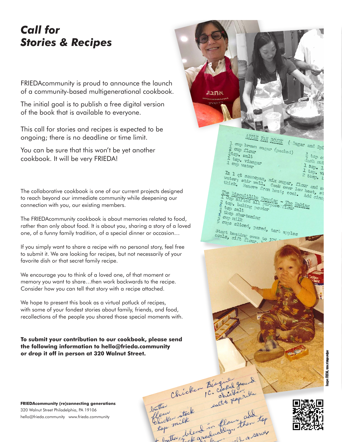## *Call for Stories & Recipes*

FRIEDAcommunity is proud to announce the launch of a community-based multigenerational cookbook.

The initial goal is to publish a free digital version of the book that is available to everyone.

This call for stories and recipes is expected to be ongoing; there is no deadline or time limit.

You can be sure that this won't be yet another cookbook. It will be very FRIEDA!

The collaborative cookbook is one of our current projects designed to reach beyond our immediate community while deepening our connection with you, our existing members.

The FRIEDAcommunity cookbook is about memories related to food, rather than only about food. It is about you, sharing a story of a loved one, of a funny family tradition, of a special dinner or occasion…

If you simply want to share a recipe with no personal story, feel free to submit it. We are looking for recipes, but not necessarily of your favorite dish or that secret family recipe.

We encourage you to think of a loved one, of that moment or memory you want to share…then work backwards to the recipe. Consider how you can tell that story with a recipe attached.

We hope to present this book as a virtual potluck of recipes, with some of your fondest stories about family, friends, and food, recollections of the people you shared those special moments with.

**To submit your contribution to our cookbook, please send the following information to hello@frieda.community or drop it off in person at 320 Walnut Street.**



**FRIEDAcommunity (re)connecting generations** 320 Walnut Street Philadelphia, PA 19106 hello@frieda.community www.frieda.community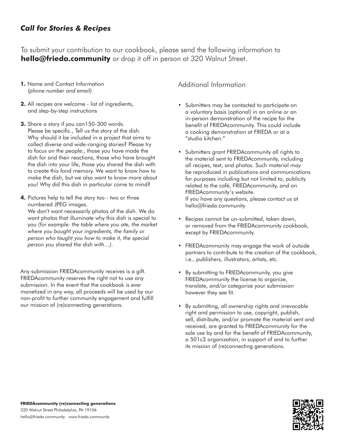## *Call for Stories & Recipes*

To submit your contribution to our cookbook, please send the following information to **hello@frieda.community** or drop it off in person at 320 Walnut Street.

- **1.** Name and Contact Information *(phone number and email)*
- **2.** All recipes are welcome list of ingredients, and step-by-step instructions
- **3.** Share a story if you can150-300 words. Please be specific., Tell us the story of the dish. Why should it be included in a project that aims to collect diverse and wide-ranging stories? Please try to focus on the people:, those you have made the dish for and their reactions, those who have brought the dish into your life, those you shared the dish with to create this fond memory. We want to know how to make the dish, but we also want to know more about you! Why did this dish in particular come to mind?
- **4.** Pictures help to tell the story too two or three numbered JPEG images.

We don't want necessarily photos of the dish. We do want photos that illuminate why this dish is special to you *(for example: the table where you ate, the market where you bought your ingredients, the family or person who taught you how to make it, the special person you shared the dish with…).*

Any submission FRIEDAcommunity receives is a gift. FRIEDAcommunity reserves the right not to use any submission. In the event that the cookbook is ever monetized in any way, all proceeds will be used by our non-profit to further community engagement and fulfill our mission of (re)connecting generations.

Additional Information

- **•** Submitters may be contacted to participate on a voluntary basis (optional) in an online or an in-person demonstration of the recipe for the benefit of FRIEDAcommunity. This could include a cooking demonstration at FRIEDA or at a "studio kitchen."
- **•** Submitters grant FRIEDAcommunity all rights to the material sent to FRIEDAcommunity, including all recipes, text, and photos. Such material may be reproduced in publications and communications for purposes including but not limited to, publicity related to the café, FRIEDAcommunity, and on FRIEDAcommunity's website. If you have any questions, please contact us at hello@frieda.community
- **•** Recipes cannot be un-submitted, taken down, or removed from the FRIEDAcommunity cookbook, except by FRIEDAcommunity.
- **•** FRIEDAcommunity may engage the work of outside partners to contribute to the creation of the cookbook, i.e., publishers, illustrators, artists, etc.
- **•** By submitting to FRIEDAcommunity, you give FRIEDAcommunity the license to organize, translate, and/or categorize your submission however they see fit.
- **•** By submitting, all ownership rights and irrevocable right and permission to use, copyright, publish, sell, distribute, and/or promote the material sent and received, are granted to FRIEDAcommunity for the sole use by and for the benefit of FRIEDAcommunity, a 501c3 organization, in support of and to further its mission of (re)connecting generations.